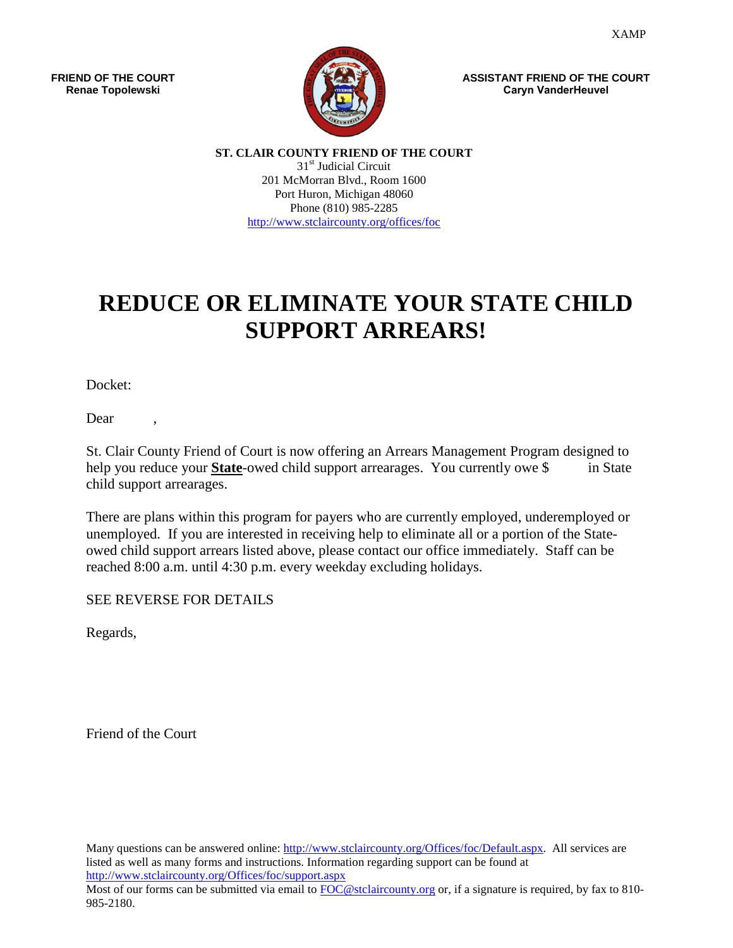**FRIEND OF THE COURT Renae Topolewski**



**ASSISTANT FRIEND OF THE COURT Caryn VanderHeuvel**

**ST. CLAIR COUNTY FRIEND OF THE COURT** 31<sup>st</sup> Judicial Circuit 201 McMorran Blvd., Room 1600 Port Huron, Michigan 48060 Phone (810) 985-2285 <http://www.stclaircounty.org/offices/foc>

# **REDUCE OR ELIMINATE YOUR STATE CHILD SUPPORT ARREARS!**

Docket:

Dear ,

St. Clair County Friend of Court is now offering an Arrears Management Program designed to help you reduce your **State**-owed child support arrearages. You currently owe \$ in State child support arrearages.

There are plans within this program for payers who are currently employed, underemployed or unemployed. If you are interested in receiving help to eliminate all or a portion of the Stateowed child support arrears listed above, please contact our office immediately. Staff can be reached 8:00 a.m. until 4:30 p.m. every weekday excluding holidays.

SEE REVERSE FOR DETAILS

Regards,

Friend of the Court

Many questions can be answered online: [http://www.stclaircounty.org/Offices/foc/Default.aspx.](http://www.stclaircounty.org/Offices/foc/Default.aspx) All services are listed as well as many forms and instructions. Information regarding support can be found at <http://www.stclaircounty.org/Offices/foc/support.aspx> Most of our forms can be submitted via email to [FOC@stclaircounty.org](mailto:FOC@stclaircounty.org) or, if a signature is required, by fax to 810-985-2180.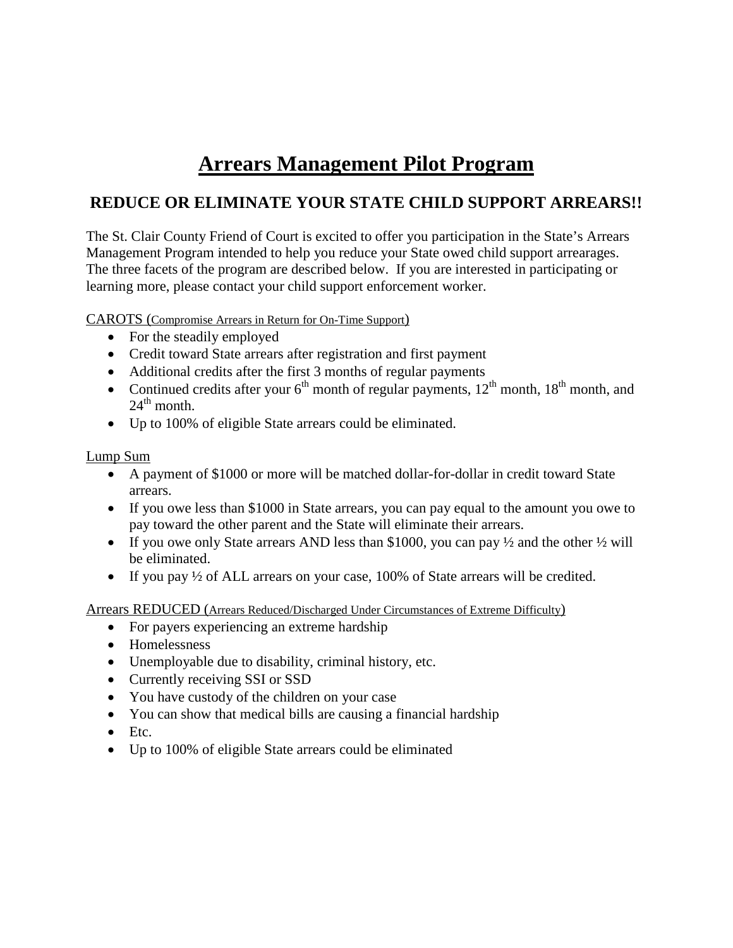## **Arrears Management Pilot Program**

### **REDUCE OR ELIMINATE YOUR STATE CHILD SUPPORT ARREARS!!**

The St. Clair County Friend of Court is excited to offer you participation in the State's Arrears Management Program intended to help you reduce your State owed child support arrearages. The three facets of the program are described below. If you are interested in participating or learning more, please contact your child support enforcement worker.

CAROTS (Compromise Arrears in Return for On-Time Support)

- For the steadily employed
- Credit toward State arrears after registration and first payment
- Additional credits after the first 3 months of regular payments
- Continued credits after your  $6<sup>th</sup>$  month of regular payments,  $12<sup>th</sup>$  month,  $18<sup>th</sup>$  month, and  $24^{\text{th}}$  month.
- Up to 100% of eligible State arrears could be eliminated.

#### Lump Sum

- A payment of \$1000 or more will be matched dollar-for-dollar in credit toward State arrears.
- If you owe less than \$1000 in State arrears, you can pay equal to the amount you owe to pay toward the other parent and the State will eliminate their arrears.
- If you owe only State arrears AND less than \$1000, you can pay  $\frac{1}{2}$  and the other  $\frac{1}{2}$  will be eliminated.
- If you pay  $\frac{1}{2}$  of ALL arrears on your case, 100% of State arrears will be credited.

Arrears REDUCED (Arrears Reduced/Discharged Under Circumstances of Extreme Difficulty)

- For payers experiencing an extreme hardship
- Homelessness
- Unemployable due to disability, criminal history, etc.
- Currently receiving SSI or SSD
- You have custody of the children on your case
- You can show that medical bills are causing a financial hardship
- Etc.
- Up to 100% of eligible State arrears could be eliminated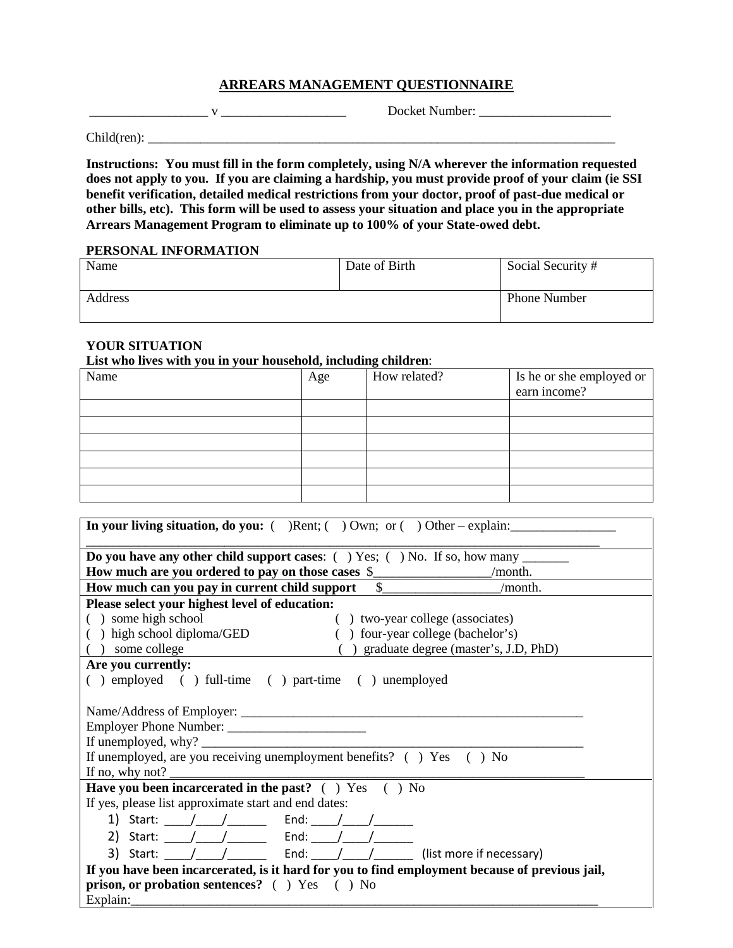#### **ARREARS MANAGEMENT QUESTIONNAIRE**

\_\_\_\_\_\_\_\_\_\_\_\_\_\_\_\_\_\_ v \_\_\_\_\_\_\_\_\_\_\_\_\_\_\_\_\_\_\_ Docket Number: \_\_\_\_\_\_\_\_\_\_\_\_\_\_\_\_\_\_\_\_

Child(ren): \_\_\_\_\_\_\_\_\_\_\_\_\_\_\_\_\_\_\_\_\_\_\_\_\_\_\_\_\_\_\_\_\_\_\_\_\_\_\_\_\_\_\_\_\_\_\_\_\_\_\_\_\_\_\_\_\_\_\_\_\_\_\_\_\_\_\_\_\_\_\_

**Instructions: You must fill in the form completely, using N/A wherever the information requested does not apply to you. If you are claiming a hardship, you must provide proof of your claim (ie SSI benefit verification, detailed medical restrictions from your doctor, proof of past-due medical or other bills, etc). This form will be used to assess your situation and place you in the appropriate Arrears Management Program to eliminate up to 100% of your State-owed debt.**

#### **PERSONAL INFORMATION**

| Name    | Date of Birth | Social Security #   |
|---------|---------------|---------------------|
| Address |               | <b>Phone Number</b> |

#### **YOUR SITUATION**

**List who lives with you in your household, including children**:

| Name | Age | How related? | Is he or she employed or<br>earn income? |
|------|-----|--------------|------------------------------------------|
|      |     |              |                                          |
|      |     |              |                                          |
|      |     |              |                                          |
|      |     |              |                                          |
|      |     |              |                                          |
|      |     |              |                                          |

| In your living situation, do you: $($ ) Rent; $($ ) Own; or $($ ) Other – explain:                                                                                                                                                                                                                                                                                                                                        |                                         |  |  |
|---------------------------------------------------------------------------------------------------------------------------------------------------------------------------------------------------------------------------------------------------------------------------------------------------------------------------------------------------------------------------------------------------------------------------|-----------------------------------------|--|--|
| Do you have any other child support cases: $( )$ Yes; $( )$ No. If so, how many _______                                                                                                                                                                                                                                                                                                                                   |                                         |  |  |
|                                                                                                                                                                                                                                                                                                                                                                                                                           |                                         |  |  |
| How much can you pay in current child support \$                                                                                                                                                                                                                                                                                                                                                                          | /month.                                 |  |  |
| Please select your highest level of education:                                                                                                                                                                                                                                                                                                                                                                            |                                         |  |  |
| () some high school                                                                                                                                                                                                                                                                                                                                                                                                       | () two-year college (associates)        |  |  |
| () high school diploma/GED                                                                                                                                                                                                                                                                                                                                                                                                | () four-year college (bachelor's)       |  |  |
| $( )$ some college                                                                                                                                                                                                                                                                                                                                                                                                        | () graduate degree (master's, J.D, PhD) |  |  |
| Are you currently:                                                                                                                                                                                                                                                                                                                                                                                                        |                                         |  |  |
| () employed () full-time () part-time () unemployed                                                                                                                                                                                                                                                                                                                                                                       |                                         |  |  |
|                                                                                                                                                                                                                                                                                                                                                                                                                           |                                         |  |  |
|                                                                                                                                                                                                                                                                                                                                                                                                                           |                                         |  |  |
|                                                                                                                                                                                                                                                                                                                                                                                                                           |                                         |  |  |
| If unemployed, why? $\frac{1}{\sqrt{1-\frac{1}{2}} \cdot \frac{1}{\sqrt{1-\frac{1}{2}}}}$                                                                                                                                                                                                                                                                                                                                 |                                         |  |  |
| If unemployed, are you receiving unemployment benefits? ( ) Yes ( ) No                                                                                                                                                                                                                                                                                                                                                    |                                         |  |  |
| If no, why not? $\frac{1}{\sqrt{1-\frac{1}{2}}}\left\{ \frac{1}{2} \right\}$                                                                                                                                                                                                                                                                                                                                              |                                         |  |  |
| Have you been incarcerated in the past? $( )$ $Yes ( )$ $No$                                                                                                                                                                                                                                                                                                                                                              |                                         |  |  |
| If yes, please list approximate start and end dates:                                                                                                                                                                                                                                                                                                                                                                      |                                         |  |  |
|                                                                                                                                                                                                                                                                                                                                                                                                                           |                                         |  |  |
|                                                                                                                                                                                                                                                                                                                                                                                                                           |                                         |  |  |
| 3) Start: $\frac{1}{\sqrt{1-\frac{1}{\sqrt{1-\frac{1}{\sqrt{1-\frac{1}{\sqrt{1-\frac{1}{\sqrt{1-\frac{1}{\sqrt{1-\frac{1}{\sqrt{1-\frac{1}{\sqrt{1-\frac{1}{\sqrt{1-\frac{1}{\sqrt{1-\frac{1}{\sqrt{1-\frac{1}{\sqrt{1-\frac{1}{\sqrt{1-\frac{1}{\sqrt{1-\frac{1}{\sqrt{1-\frac{1}{\sqrt{1-\frac{1}{\sqrt{1-\frac{1}{\sqrt{1-\frac{1}{\sqrt{1-\frac{1}{\sqrt{1-\frac{1}{\sqrt{1-\frac{1}{\sqrt{1-\frac{1}{\sqrt{1-\frac{$ |                                         |  |  |
| If you have been incarcerated, is it hard for you to find employment because of previous jail,                                                                                                                                                                                                                                                                                                                            |                                         |  |  |
| prison, or probation sentences? () Yes () No                                                                                                                                                                                                                                                                                                                                                                              |                                         |  |  |
| Explain:                                                                                                                                                                                                                                                                                                                                                                                                                  |                                         |  |  |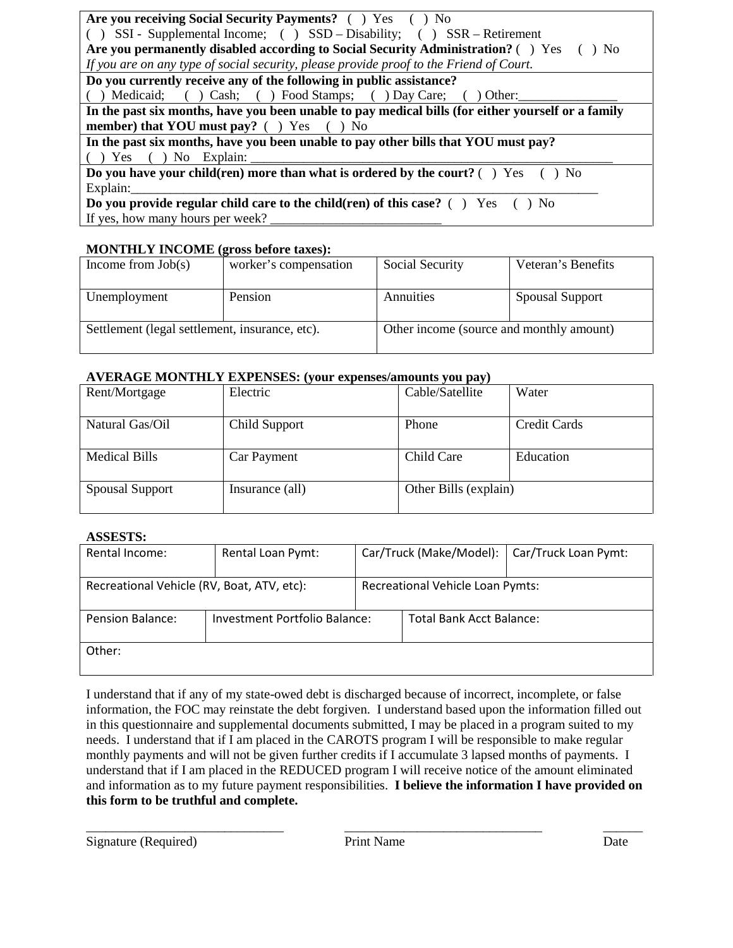#### **MONTHLY INCOME (gross before taxes):**

| Income from $Job(s)$                           | worker's compensation | Social Security                          | Veteran's Benefits     |
|------------------------------------------------|-----------------------|------------------------------------------|------------------------|
| Unemployment                                   | Pension               | Annuities                                | <b>Spousal Support</b> |
| Settlement (legal settlement, insurance, etc). |                       | Other income (source and monthly amount) |                        |

#### **AVERAGE MONTHLY EXPENSES: (your expenses/amounts you pay)**

| Rent/Mortgage          | Electric        | Cable/Satellite       | Water               |
|------------------------|-----------------|-----------------------|---------------------|
| Natural Gas/Oil        | Child Support   | Phone                 | <b>Credit Cards</b> |
| <b>Medical Bills</b>   | Car Payment     | Child Care            | Education           |
| <b>Spousal Support</b> | Insurance (all) | Other Bills (explain) |                     |

#### **ASSESTS:**

| Rental Income:                             | Rental Loan Pymt:             |                                  | Car/Truck (Make/Model):  | Car/Truck Loan Pymt: |
|--------------------------------------------|-------------------------------|----------------------------------|--------------------------|----------------------|
| Recreational Vehicle (RV, Boat, ATV, etc): |                               | Recreational Vehicle Loan Pymts: |                          |                      |
| <b>Pension Balance:</b>                    | Investment Portfolio Balance: |                                  | Total Bank Acct Balance: |                      |
| Other:                                     |                               |                                  |                          |                      |

I understand that if any of my state-owed debt is discharged because of incorrect, incomplete, or false information, the FOC may reinstate the debt forgiven. I understand based upon the information filled out in this questionnaire and supplemental documents submitted, I may be placed in a program suited to my needs. I understand that if I am placed in the CAROTS program I will be responsible to make regular monthly payments and will not be given further credits if I accumulate 3 lapsed months of payments. I understand that if I am placed in the REDUCED program I will receive notice of the amount eliminated and information as to my future payment responsibilities. **I believe the information I have provided on this form to be truthful and complete.**

\_\_\_\_\_\_\_\_\_\_\_\_\_\_\_\_\_\_\_\_\_\_\_\_\_\_\_\_\_\_ \_\_\_\_\_\_\_\_\_\_\_\_\_\_\_\_\_\_\_\_\_\_\_\_\_\_\_\_\_\_ \_\_\_\_\_\_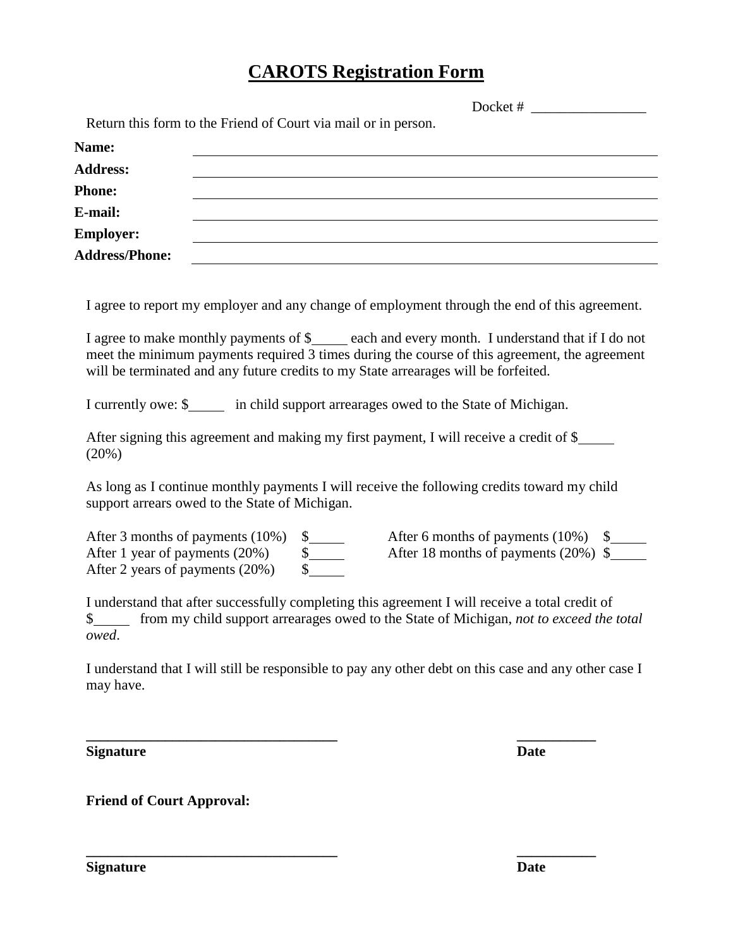## **CAROTS Registration Form**

Docket # Return this form to the Friend of Court via mail or in person. **Name: Address: Phone: E-mail: Employer: Address/Phone:**  I agree to report my employer and any change of employment through the end of this agreement. I agree to make monthly payments of  $\frac{1}{2}$  each and every month. I understand that if I do not meet the minimum payments required 3 times during the course of this agreement, the agreement will be terminated and any future credits to my State arrearages will be forfeited. I currently owe: \$ in child support arrearages owed to the State of Michigan. After signing this agreement and making my first payment, I will receive a credit of \$ (20%) As long as I continue monthly payments I will receive the following credits toward my child support arrears owed to the State of Michigan. After 3 months of payments (10%)  $\frac{10\%}{\$}$  After 6 months of payments (10%)  $\frac{20\%}{\$}$  After 18 months of payments (20%)  $\frac{10\%}{\$}$ After 1 year of payments (20%)  $\qquad$  \$ After 18 months of payments (20%) \$

I understand that after successfully completing this agreement I will receive a total credit of \$ from my child support arrearages owed to the State of Michigan, *not to exceed the total owed*.

I understand that I will still be responsible to pay any other debt on this case and any other case I may have.

**\_\_\_\_\_\_\_\_\_\_\_\_\_\_\_\_\_\_\_\_\_\_\_\_\_\_\_\_\_\_\_\_\_\_\_ \_\_\_\_\_\_\_\_\_\_\_**

**\_\_\_\_\_\_\_\_\_\_\_\_\_\_\_\_\_\_\_\_\_\_\_\_\_\_\_\_\_\_\_\_\_\_\_ \_\_\_\_\_\_\_\_\_\_\_**

**Signature Date**

**Friend of Court Approval:**

After 2 years of payments (20%) \$

**Signature Date**